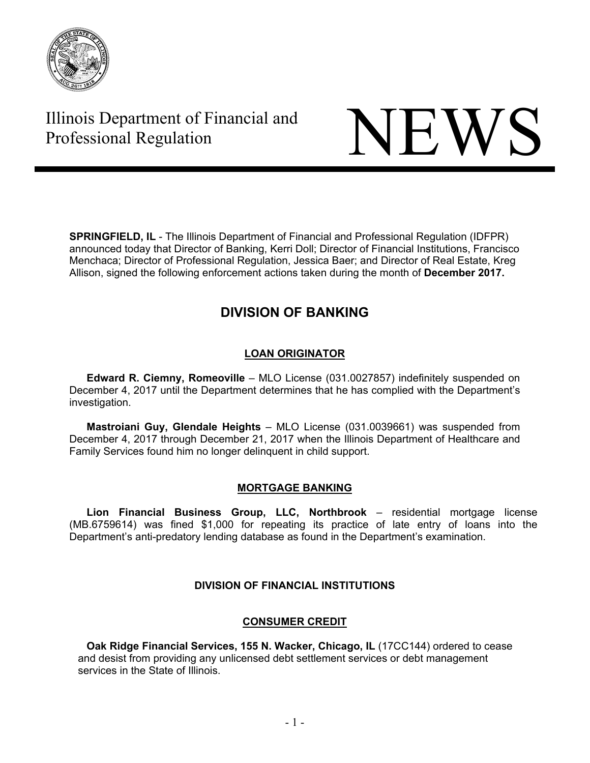

# Illinois Department of Financial and Illinois Department of Financial and<br>Professional Regulation



**SPRINGFIELD, IL** - The Illinois Department of Financial and Professional Regulation (IDFPR) announced today that Director of Banking, Kerri Doll; Director of Financial Institutions, Francisco Menchaca; Director of Professional Regulation, Jessica Baer; and Director of Real Estate, Kreg Allison, signed the following enforcement actions taken during the month of **December 2017.** 

# **DIVISION OF BANKING**

## **LOAN ORIGINATOR**

**Edward R. Ciemny, Romeoville** – MLO License (031.0027857) indefinitely suspended on December 4, 2017 until the Department determines that he has complied with the Department's investigation.

**Mastroiani Guy, Glendale Heights** – MLO License (031.0039661) was suspended from December 4, 2017 through December 21, 2017 when the Illinois Department of Healthcare and Family Services found him no longer delinquent in child support.

## **MORTGAGE BANKING**

**Lion Financial Business Group, LLC, Northbrook** – residential mortgage license (MB.6759614) was fined \$1,000 for repeating its practice of late entry of loans into the Department's anti-predatory lending database as found in the Department's examination.

## **DIVISION OF FINANCIAL INSTITUTIONS**

## **CONSUMER CREDIT**

**Oak Ridge Financial Services, 155 N. Wacker, Chicago, IL (17CC144) ordered to cease** and desist from providing any unlicensed debt settlement services or debt management services in the State of Illinois.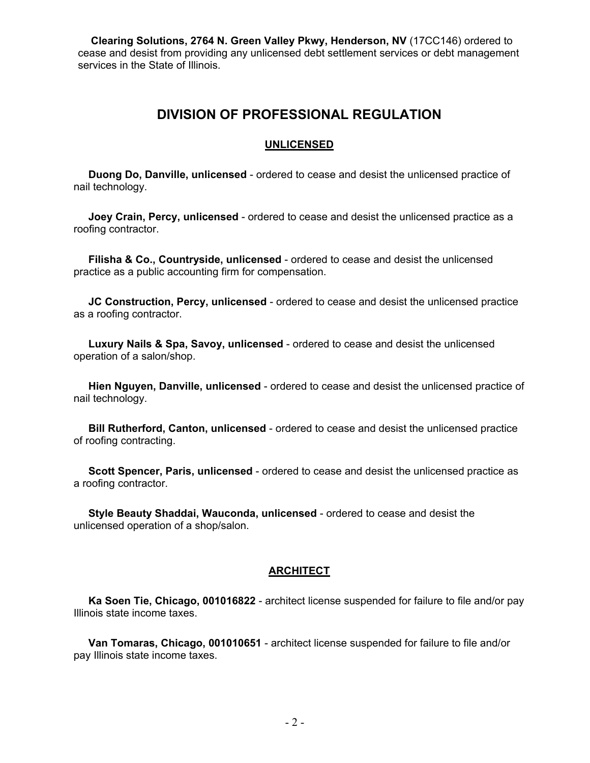**Clearing Solutions, 2764 N. Green Valley Pkwy, Henderson, NV** (17CC146) ordered to cease and desist from providing any unlicensed debt settlement services or debt management services in the State of Illinois.

## **DIVISION OF PROFESSIONAL REGULATION**

#### **UNLICENSED**

 **Duong Do, Danville, unlicensed** - ordered to cease and desist the unlicensed practice of nail technology.

 **Joey Crain, Percy, unlicensed** - ordered to cease and desist the unlicensed practice as a roofing contractor.

 **Filisha & Co., Countryside, unlicensed** - ordered to cease and desist the unlicensed practice as a public accounting firm for compensation.

 **JC Construction, Percy, unlicensed** - ordered to cease and desist the unlicensed practice as a roofing contractor.

 **Luxury Nails & Spa, Savoy, unlicensed** - ordered to cease and desist the unlicensed operation of a salon/shop.

 **Hien Nguyen, Danville, unlicensed** - ordered to cease and desist the unlicensed practice of nail technology.

 **Bill Rutherford, Canton, unlicensed** - ordered to cease and desist the unlicensed practice of roofing contracting.

 **Scott Spencer, Paris, unlicensed** - ordered to cease and desist the unlicensed practice as a roofing contractor.

 **Style Beauty Shaddai, Wauconda, unlicensed** - ordered to cease and desist the unlicensed operation of a shop/salon.

#### **ARCHITECT**

 **Ka Soen Tie, Chicago, 001016822** - architect license suspended for failure to file and/or pay Illinois state income taxes.

 **Van Tomaras, Chicago, 001010651** - architect license suspended for failure to file and/or pay Illinois state income taxes.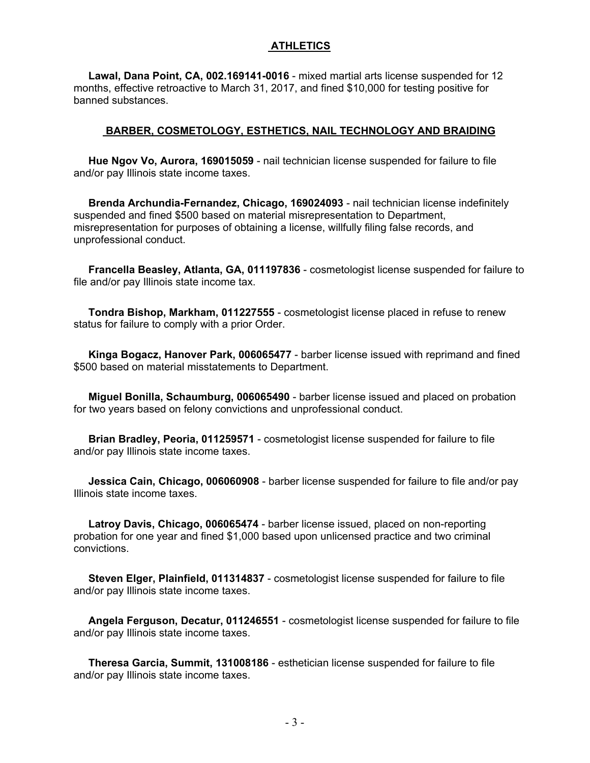#### **ATHLETICS**

 **Lawal, Dana Point, CA, 002.169141-0016** - mixed martial arts license suspended for 12 months, effective retroactive to March 31, 2017, and fined \$10,000 for testing positive for banned substances.

#### **BARBER, COSMETOLOGY, ESTHETICS, NAIL TECHNOLOGY AND BRAIDING**

 **Hue Ngov Vo, Aurora, 169015059** - nail technician license suspended for failure to file and/or pay Illinois state income taxes.

 **Brenda Archundia-Fernandez, Chicago, 169024093** - nail technician license indefinitely suspended and fined \$500 based on material misrepresentation to Department, misrepresentation for purposes of obtaining a license, willfully filing false records, and unprofessional conduct.

 **Francella Beasley, Atlanta, GA, 011197836** - cosmetologist license suspended for failure to file and/or pay Illinois state income tax.

 **Tondra Bishop, Markham, 011227555** - cosmetologist license placed in refuse to renew status for failure to comply with a prior Order.

 **Kinga Bogacz, Hanover Park, 006065477** - barber license issued with reprimand and fined \$500 based on material misstatements to Department.

 **Miguel Bonilla, Schaumburg, 006065490** - barber license issued and placed on probation for two years based on felony convictions and unprofessional conduct.

 **Brian Bradley, Peoria, 011259571** - cosmetologist license suspended for failure to file and/or pay Illinois state income taxes.

 **Jessica Cain, Chicago, 006060908** - barber license suspended for failure to file and/or pay Illinois state income taxes.

 **Latroy Davis, Chicago, 006065474** - barber license issued, placed on non-reporting probation for one year and fined \$1,000 based upon unlicensed practice and two criminal convictions.

 **Steven Elger, Plainfield, 011314837** - cosmetologist license suspended for failure to file and/or pay Illinois state income taxes.

 **Angela Ferguson, Decatur, 011246551** - cosmetologist license suspended for failure to file and/or pay Illinois state income taxes.

 **Theresa Garcia, Summit, 131008186** - esthetician license suspended for failure to file and/or pay Illinois state income taxes.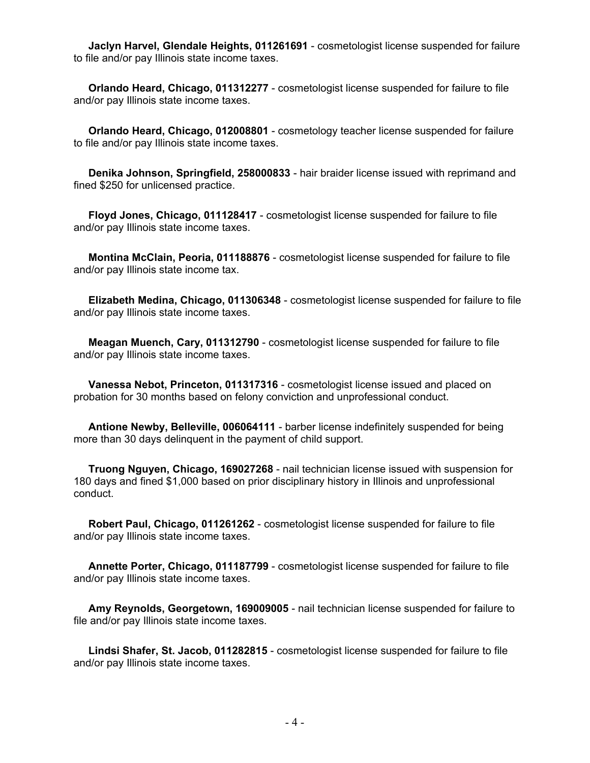**Jaclyn Harvel, Glendale Heights, 011261691** - cosmetologist license suspended for failure to file and/or pay Illinois state income taxes.

 **Orlando Heard, Chicago, 011312277** - cosmetologist license suspended for failure to file and/or pay Illinois state income taxes.

 **Orlando Heard, Chicago, 012008801** - cosmetology teacher license suspended for failure to file and/or pay Illinois state income taxes.

 **Denika Johnson, Springfield, 258000833** - hair braider license issued with reprimand and fined \$250 for unlicensed practice.

 **Floyd Jones, Chicago, 011128417** - cosmetologist license suspended for failure to file and/or pay Illinois state income taxes.

 **Montina McClain, Peoria, 011188876** - cosmetologist license suspended for failure to file and/or pay Illinois state income tax.

 **Elizabeth Medina, Chicago, 011306348** - cosmetologist license suspended for failure to file and/or pay Illinois state income taxes.

 **Meagan Muench, Cary, 011312790** - cosmetologist license suspended for failure to file and/or pay Illinois state income taxes.

 **Vanessa Nebot, Princeton, 011317316** - cosmetologist license issued and placed on probation for 30 months based on felony conviction and unprofessional conduct.

 **Antione Newby, Belleville, 006064111** - barber license indefinitely suspended for being more than 30 days delinquent in the payment of child support.

 **Truong Nguyen, Chicago, 169027268** - nail technician license issued with suspension for 180 days and fined \$1,000 based on prior disciplinary history in Illinois and unprofessional conduct.

 **Robert Paul, Chicago, 011261262** - cosmetologist license suspended for failure to file and/or pay Illinois state income taxes.

 **Annette Porter, Chicago, 011187799** - cosmetologist license suspended for failure to file and/or pay Illinois state income taxes.

 **Amy Reynolds, Georgetown, 169009005** - nail technician license suspended for failure to file and/or pay Illinois state income taxes.

 **Lindsi Shafer, St. Jacob, 011282815** - cosmetologist license suspended for failure to file and/or pay Illinois state income taxes.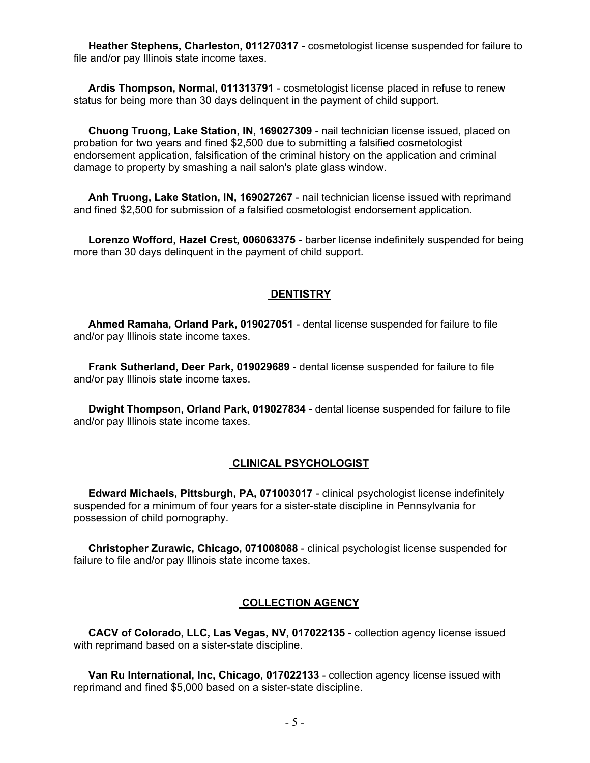**Heather Stephens, Charleston, 011270317** - cosmetologist license suspended for failure to file and/or pay Illinois state income taxes.

 **Ardis Thompson, Normal, 011313791** - cosmetologist license placed in refuse to renew status for being more than 30 days delinquent in the payment of child support.

 **Chuong Truong, Lake Station, IN, 169027309** - nail technician license issued, placed on probation for two years and fined \$2,500 due to submitting a falsified cosmetologist endorsement application, falsification of the criminal history on the application and criminal damage to property by smashing a nail salon's plate glass window.

 **Anh Truong, Lake Station, IN, 169027267** - nail technician license issued with reprimand and fined \$2,500 for submission of a falsified cosmetologist endorsement application.

 **Lorenzo Wofford, Hazel Crest, 006063375** - barber license indefinitely suspended for being more than 30 days delinquent in the payment of child support.

#### **DENTISTRY**

 **Ahmed Ramaha, Orland Park, 019027051** - dental license suspended for failure to file and/or pay Illinois state income taxes.

 **Frank Sutherland, Deer Park, 019029689** - dental license suspended for failure to file and/or pay Illinois state income taxes.

 **Dwight Thompson, Orland Park, 019027834** - dental license suspended for failure to file and/or pay Illinois state income taxes.

#### **CLINICAL PSYCHOLOGIST**

 **Edward Michaels, Pittsburgh, PA, 071003017** - clinical psychologist license indefinitely suspended for a minimum of four years for a sister-state discipline in Pennsylvania for possession of child pornography.

 **Christopher Zurawic, Chicago, 071008088** - clinical psychologist license suspended for failure to file and/or pay Illinois state income taxes.

#### **COLLECTION AGENCY**

 **CACV of Colorado, LLC, Las Vegas, NV, 017022135** - collection agency license issued with reprimand based on a sister-state discipline.

 **Van Ru International, Inc, Chicago, 017022133** - collection agency license issued with reprimand and fined \$5,000 based on a sister-state discipline.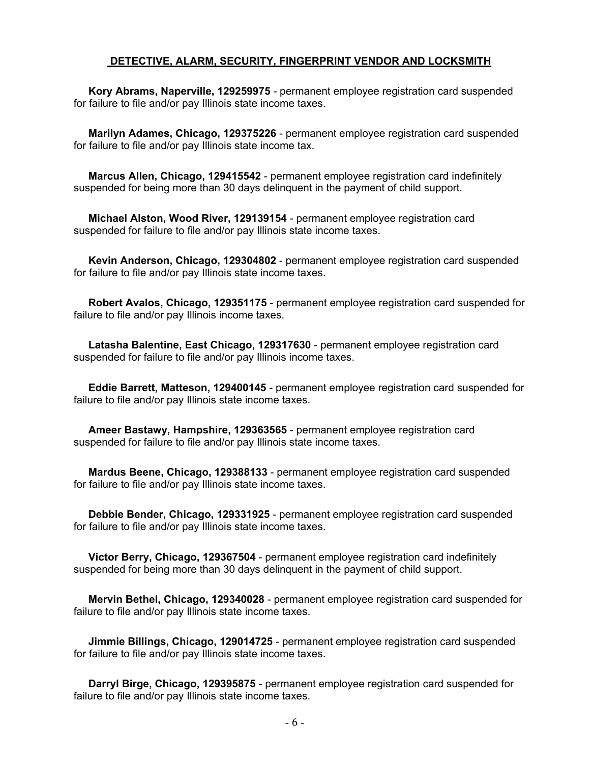#### **DETECTIVE, ALARM, SECURITY, FINGERPRINT VENDOR AND LOCKSMITH**

 **Kory Abrams, Naperville, 129259975** - permanent employee registration card suspended for failure to file and/or pay Illinois state income taxes.

 **Marilyn Adames, Chicago, 129375226** - permanent employee registration card suspended for failure to file and/or pay Illinois state income tax.

 **Marcus Allen, Chicago, 129415542** - permanent employee registration card indefinitely suspended for being more than 30 days delinquent in the payment of child support.

 **Michael Alston, Wood River, 129139154** - permanent employee registration card suspended for failure to file and/or pay Illinois state income taxes.

 **Kevin Anderson, Chicago, 129304802** - permanent employee registration card suspended for failure to file and/or pay Illinois state income taxes.

 **Robert Avalos, Chicago, 129351175** - permanent employee registration card suspended for failure to file and/or pay Illinois income taxes.

 **Latasha Balentine, East Chicago, 129317630** - permanent employee registration card suspended for failure to file and/or pay Illinois income taxes.

 **Eddie Barrett, Matteson, 129400145** - permanent employee registration card suspended for failure to file and/or pay Illinois state income taxes.

 **Ameer Bastawy, Hampshire, 129363565** - permanent employee registration card suspended for failure to file and/or pay Illinois state income taxes.

 **Mardus Beene, Chicago, 129388133** - permanent employee registration card suspended for failure to file and/or pay Illinois state income taxes.

 **Debbie Bender, Chicago, 129331925** - permanent employee registration card suspended for failure to file and/or pay Illinois state income taxes.

 **Victor Berry, Chicago, 129367504** - permanent employee registration card indefinitely suspended for being more than 30 days delinquent in the payment of child support.

 **Mervin Bethel, Chicago, 129340028** - permanent employee registration card suspended for failure to file and/or pay Illinois state income taxes.

 **Jimmie Billings, Chicago, 129014725** - permanent employee registration card suspended for failure to file and/or pay Illinois state income taxes.

 **Darryl Birge, Chicago, 129395875** - permanent employee registration card suspended for failure to file and/or pay Illinois state income taxes.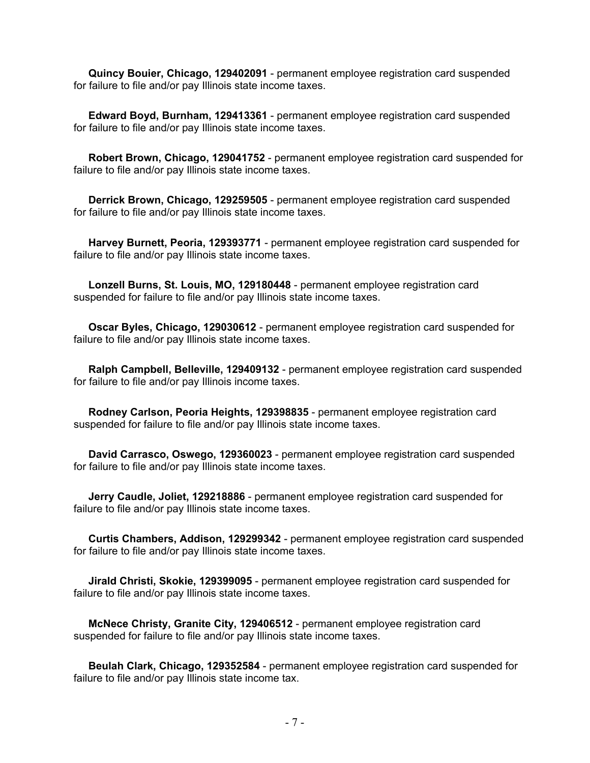**Quincy Bouier, Chicago, 129402091** - permanent employee registration card suspended for failure to file and/or pay Illinois state income taxes.

 **Edward Boyd, Burnham, 129413361** - permanent employee registration card suspended for failure to file and/or pay Illinois state income taxes.

 **Robert Brown, Chicago, 129041752** - permanent employee registration card suspended for failure to file and/or pay Illinois state income taxes.

 **Derrick Brown, Chicago, 129259505** - permanent employee registration card suspended for failure to file and/or pay Illinois state income taxes.

 **Harvey Burnett, Peoria, 129393771** - permanent employee registration card suspended for failure to file and/or pay Illinois state income taxes.

 **Lonzell Burns, St. Louis, MO, 129180448** - permanent employee registration card suspended for failure to file and/or pay Illinois state income taxes.

 **Oscar Byles, Chicago, 129030612** - permanent employee registration card suspended for failure to file and/or pay Illinois state income taxes.

 **Ralph Campbell, Belleville, 129409132** - permanent employee registration card suspended for failure to file and/or pay Illinois income taxes.

 **Rodney Carlson, Peoria Heights, 129398835** - permanent employee registration card suspended for failure to file and/or pay Illinois state income taxes.

 **David Carrasco, Oswego, 129360023** - permanent employee registration card suspended for failure to file and/or pay Illinois state income taxes.

 **Jerry Caudle, Joliet, 129218886** - permanent employee registration card suspended for failure to file and/or pay Illinois state income taxes.

 **Curtis Chambers, Addison, 129299342** - permanent employee registration card suspended for failure to file and/or pay Illinois state income taxes.

 **Jirald Christi, Skokie, 129399095** - permanent employee registration card suspended for failure to file and/or pay Illinois state income taxes.

 **McNece Christy, Granite City, 129406512** - permanent employee registration card suspended for failure to file and/or pay Illinois state income taxes.

 **Beulah Clark, Chicago, 129352584** - permanent employee registration card suspended for failure to file and/or pay Illinois state income tax.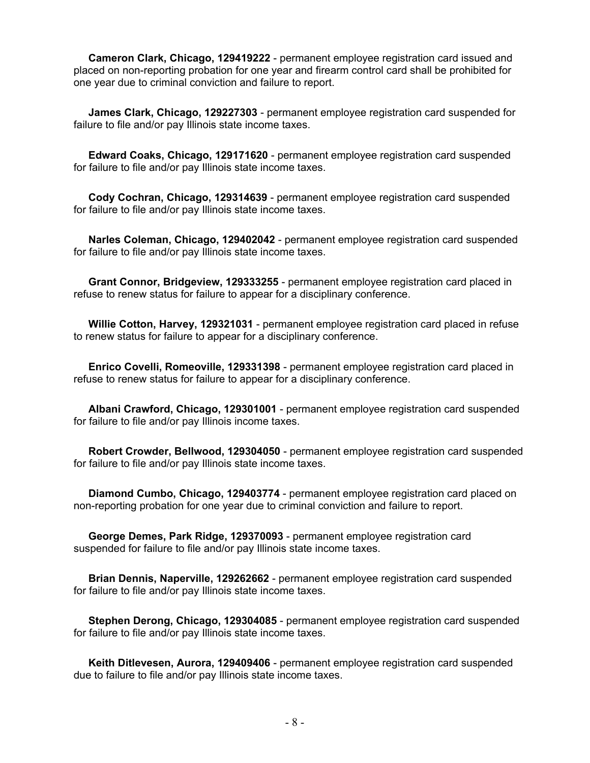**Cameron Clark, Chicago, 129419222** - permanent employee registration card issued and placed on non-reporting probation for one year and firearm control card shall be prohibited for one year due to criminal conviction and failure to report.

 **James Clark, Chicago, 129227303** - permanent employee registration card suspended for failure to file and/or pay Illinois state income taxes.

 **Edward Coaks, Chicago, 129171620** - permanent employee registration card suspended for failure to file and/or pay Illinois state income taxes.

 **Cody Cochran, Chicago, 129314639** - permanent employee registration card suspended for failure to file and/or pay Illinois state income taxes.

 **Narles Coleman, Chicago, 129402042** - permanent employee registration card suspended for failure to file and/or pay Illinois state income taxes.

 **Grant Connor, Bridgeview, 129333255** - permanent employee registration card placed in refuse to renew status for failure to appear for a disciplinary conference.

 **Willie Cotton, Harvey, 129321031** - permanent employee registration card placed in refuse to renew status for failure to appear for a disciplinary conference.

 **Enrico Covelli, Romeoville, 129331398** - permanent employee registration card placed in refuse to renew status for failure to appear for a disciplinary conference.

 **Albani Crawford, Chicago, 129301001** - permanent employee registration card suspended for failure to file and/or pay Illinois income taxes.

 **Robert Crowder, Bellwood, 129304050** - permanent employee registration card suspended for failure to file and/or pay Illinois state income taxes.

 **Diamond Cumbo, Chicago, 129403774** - permanent employee registration card placed on non-reporting probation for one year due to criminal conviction and failure to report.

 **George Demes, Park Ridge, 129370093** - permanent employee registration card suspended for failure to file and/or pay Illinois state income taxes.

 **Brian Dennis, Naperville, 129262662** - permanent employee registration card suspended for failure to file and/or pay Illinois state income taxes.

 **Stephen Derong, Chicago, 129304085** - permanent employee registration card suspended for failure to file and/or pay Illinois state income taxes.

 **Keith Ditlevesen, Aurora, 129409406** - permanent employee registration card suspended due to failure to file and/or pay Illinois state income taxes.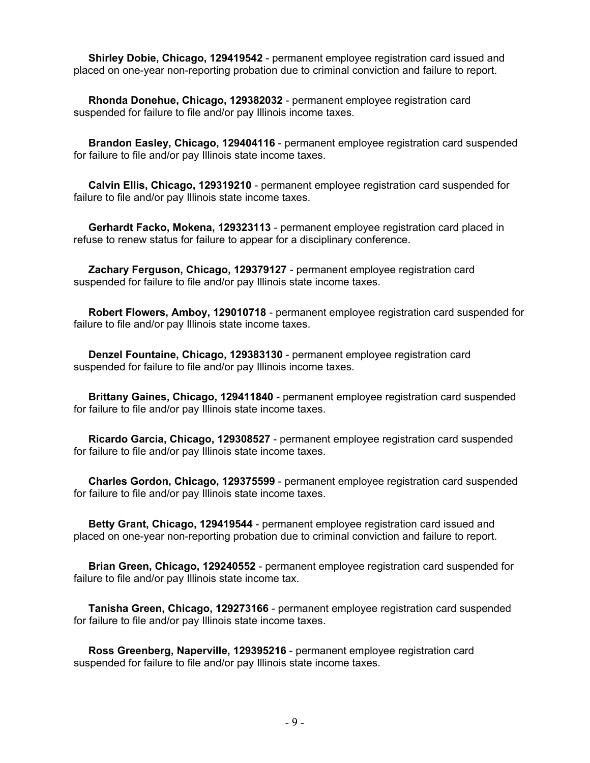**Shirley Dobie, Chicago, 129419542** - permanent employee registration card issued and placed on one-year non-reporting probation due to criminal conviction and failure to report.

 **Rhonda Donehue, Chicago, 129382032** - permanent employee registration card suspended for failure to file and/or pay Illinois income taxes.

 **Brandon Easley, Chicago, 129404116** - permanent employee registration card suspended for failure to file and/or pay Illinois state income taxes.

 **Calvin Ellis, Chicago, 129319210** - permanent employee registration card suspended for failure to file and/or pay Illinois state income taxes.

 **Gerhardt Facko, Mokena, 129323113** - permanent employee registration card placed in refuse to renew status for failure to appear for a disciplinary conference.

 **Zachary Ferguson, Chicago, 129379127** - permanent employee registration card suspended for failure to file and/or pay Illinois state income taxes.

 **Robert Flowers, Amboy, 129010718** - permanent employee registration card suspended for failure to file and/or pay Illinois state income taxes.

 **Denzel Fountaine, Chicago, 129383130** - permanent employee registration card suspended for failure to file and/or pay Illinois income taxes.

 **Brittany Gaines, Chicago, 129411840** - permanent employee registration card suspended for failure to file and/or pay Illinois state income taxes.

 **Ricardo Garcia, Chicago, 129308527** - permanent employee registration card suspended for failure to file and/or pay Illinois state income taxes.

 **Charles Gordon, Chicago, 129375599** - permanent employee registration card suspended for failure to file and/or pay Illinois state income taxes.

 **Betty Grant, Chicago, 129419544** - permanent employee registration card issued and placed on one-year non-reporting probation due to criminal conviction and failure to report.

 **Brian Green, Chicago, 129240552** - permanent employee registration card suspended for failure to file and/or pay Illinois state income tax.

 **Tanisha Green, Chicago, 129273166** - permanent employee registration card suspended for failure to file and/or pay Illinois state income taxes.

 **Ross Greenberg, Naperville, 129395216** - permanent employee registration card suspended for failure to file and/or pay Illinois state income taxes.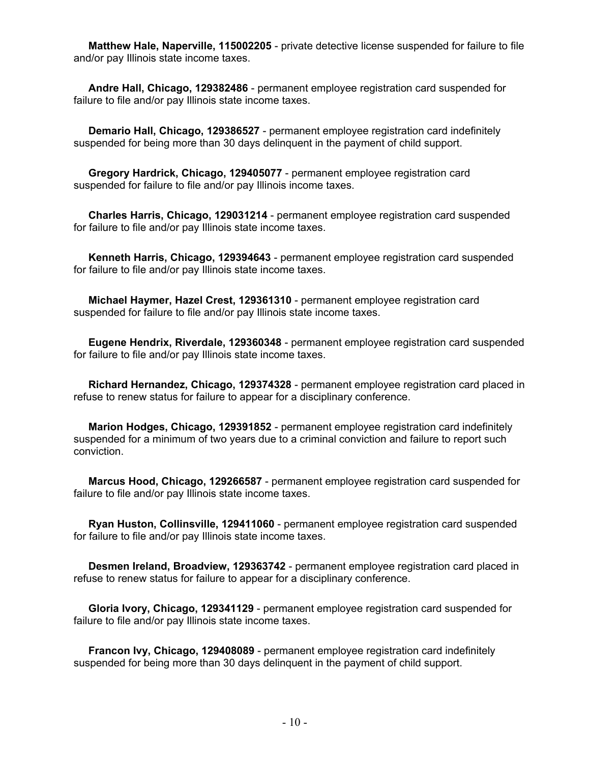**Matthew Hale, Naperville, 115002205** - private detective license suspended for failure to file and/or pay Illinois state income taxes.

 **Andre Hall, Chicago, 129382486** - permanent employee registration card suspended for failure to file and/or pay Illinois state income taxes.

 **Demario Hall, Chicago, 129386527** - permanent employee registration card indefinitely suspended for being more than 30 days delinquent in the payment of child support.

 **Gregory Hardrick, Chicago, 129405077** - permanent employee registration card suspended for failure to file and/or pay Illinois income taxes.

 **Charles Harris, Chicago, 129031214** - permanent employee registration card suspended for failure to file and/or pay Illinois state income taxes.

 **Kenneth Harris, Chicago, 129394643** - permanent employee registration card suspended for failure to file and/or pay Illinois state income taxes.

 **Michael Haymer, Hazel Crest, 129361310** - permanent employee registration card suspended for failure to file and/or pay Illinois state income taxes.

 **Eugene Hendrix, Riverdale, 129360348** - permanent employee registration card suspended for failure to file and/or pay Illinois state income taxes.

 **Richard Hernandez, Chicago, 129374328** - permanent employee registration card placed in refuse to renew status for failure to appear for a disciplinary conference.

 **Marion Hodges, Chicago, 129391852** - permanent employee registration card indefinitely suspended for a minimum of two years due to a criminal conviction and failure to report such conviction.

 **Marcus Hood, Chicago, 129266587** - permanent employee registration card suspended for failure to file and/or pay Illinois state income taxes.

 **Ryan Huston, Collinsville, 129411060** - permanent employee registration card suspended for failure to file and/or pay Illinois state income taxes.

 **Desmen Ireland, Broadview, 129363742** - permanent employee registration card placed in refuse to renew status for failure to appear for a disciplinary conference.

 **Gloria Ivory, Chicago, 129341129** - permanent employee registration card suspended for failure to file and/or pay Illinois state income taxes.

 **Francon Ivy, Chicago, 129408089** - permanent employee registration card indefinitely suspended for being more than 30 days delinquent in the payment of child support.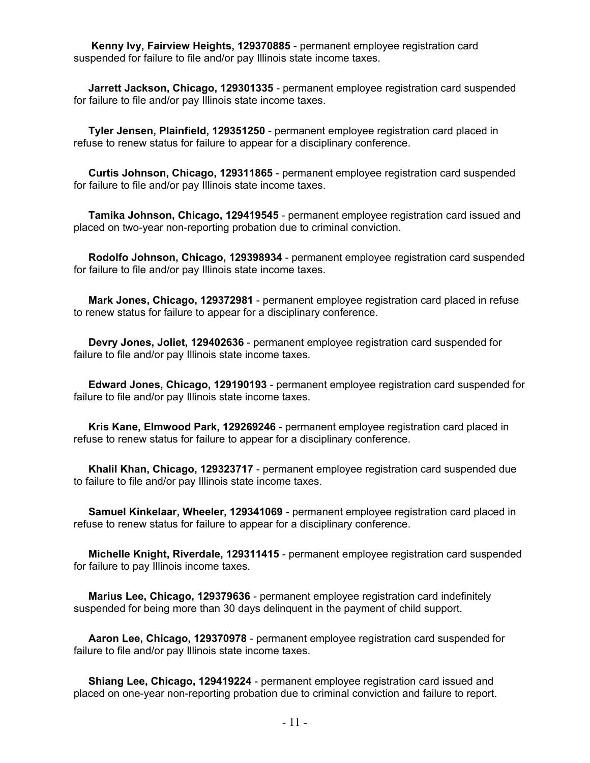**Kenny Ivy, Fairview Heights, 129370885** - permanent employee registration card suspended for failure to file and/or pay Illinois state income taxes.

 **Jarrett Jackson, Chicago, 129301335** - permanent employee registration card suspended for failure to file and/or pay Illinois state income taxes.

 **Tyler Jensen, Plainfield, 129351250** - permanent employee registration card placed in refuse to renew status for failure to appear for a disciplinary conference.

 **Curtis Johnson, Chicago, 129311865** - permanent employee registration card suspended for failure to file and/or pay Illinois state income taxes.

 **Tamika Johnson, Chicago, 129419545** - permanent employee registration card issued and placed on two-year non-reporting probation due to criminal conviction.

 **Rodolfo Johnson, Chicago, 129398934** - permanent employee registration card suspended for failure to file and/or pay Illinois state income taxes.

 **Mark Jones, Chicago, 129372981** - permanent employee registration card placed in refuse to renew status for failure to appear for a disciplinary conference.

 **Devry Jones, Joliet, 129402636** - permanent employee registration card suspended for failure to file and/or pay Illinois state income taxes.

 **Edward Jones, Chicago, 129190193** - permanent employee registration card suspended for failure to file and/or pay Illinois state income taxes.

 **Kris Kane, Elmwood Park, 129269246** - permanent employee registration card placed in refuse to renew status for failure to appear for a disciplinary conference.

 **Khalil Khan, Chicago, 129323717** - permanent employee registration card suspended due to failure to file and/or pay Illinois state income taxes.

 **Samuel Kinkelaar, Wheeler, 129341069** - permanent employee registration card placed in refuse to renew status for failure to appear for a disciplinary conference.

 **Michelle Knight, Riverdale, 129311415** - permanent employee registration card suspended for failure to pay Illinois income taxes.

 **Marius Lee, Chicago, 129379636** - permanent employee registration card indefinitely suspended for being more than 30 days delinquent in the payment of child support.

 **Aaron Lee, Chicago, 129370978** - permanent employee registration card suspended for failure to file and/or pay Illinois state income taxes.

 **Shiang Lee, Chicago, 129419224** - permanent employee registration card issued and placed on one-year non-reporting probation due to criminal conviction and failure to report.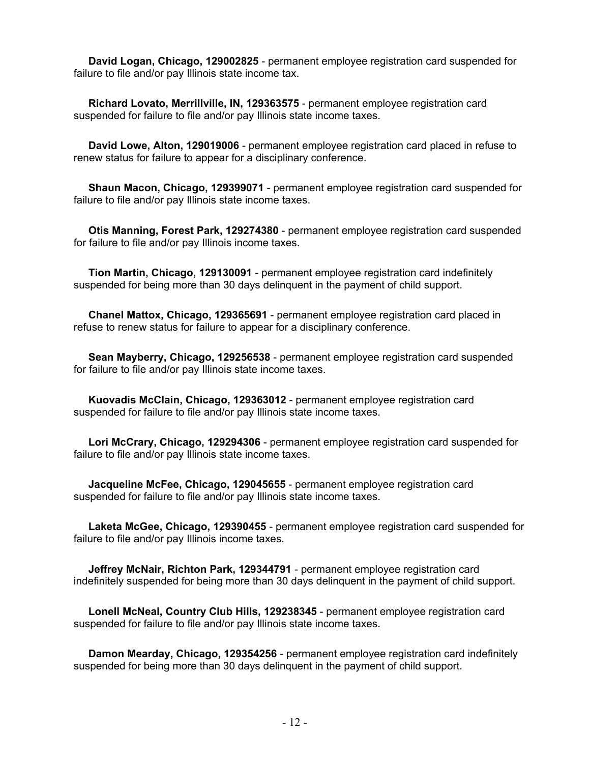**David Logan, Chicago, 129002825** - permanent employee registration card suspended for failure to file and/or pay Illinois state income tax.

 **Richard Lovato, Merrillville, IN, 129363575** - permanent employee registration card suspended for failure to file and/or pay Illinois state income taxes.

 **David Lowe, Alton, 129019006** - permanent employee registration card placed in refuse to renew status for failure to appear for a disciplinary conference.

 **Shaun Macon, Chicago, 129399071** - permanent employee registration card suspended for failure to file and/or pay Illinois state income taxes.

 **Otis Manning, Forest Park, 129274380** - permanent employee registration card suspended for failure to file and/or pay Illinois income taxes.

 **Tion Martin, Chicago, 129130091** - permanent employee registration card indefinitely suspended for being more than 30 days delinquent in the payment of child support.

 **Chanel Mattox, Chicago, 129365691** - permanent employee registration card placed in refuse to renew status for failure to appear for a disciplinary conference.

 **Sean Mayberry, Chicago, 129256538** - permanent employee registration card suspended for failure to file and/or pay Illinois state income taxes.

 **Kuovadis McClain, Chicago, 129363012** - permanent employee registration card suspended for failure to file and/or pay Illinois state income taxes.

 **Lori McCrary, Chicago, 129294306** - permanent employee registration card suspended for failure to file and/or pay Illinois state income taxes.

 **Jacqueline McFee, Chicago, 129045655** - permanent employee registration card suspended for failure to file and/or pay Illinois state income taxes.

 **Laketa McGee, Chicago, 129390455** - permanent employee registration card suspended for failure to file and/or pay Illinois income taxes.

 **Jeffrey McNair, Richton Park, 129344791** - permanent employee registration card indefinitely suspended for being more than 30 days delinquent in the payment of child support.

 **Lonell McNeal, Country Club Hills, 129238345** - permanent employee registration card suspended for failure to file and/or pay Illinois state income taxes.

 **Damon Mearday, Chicago, 129354256** - permanent employee registration card indefinitely suspended for being more than 30 days delinquent in the payment of child support.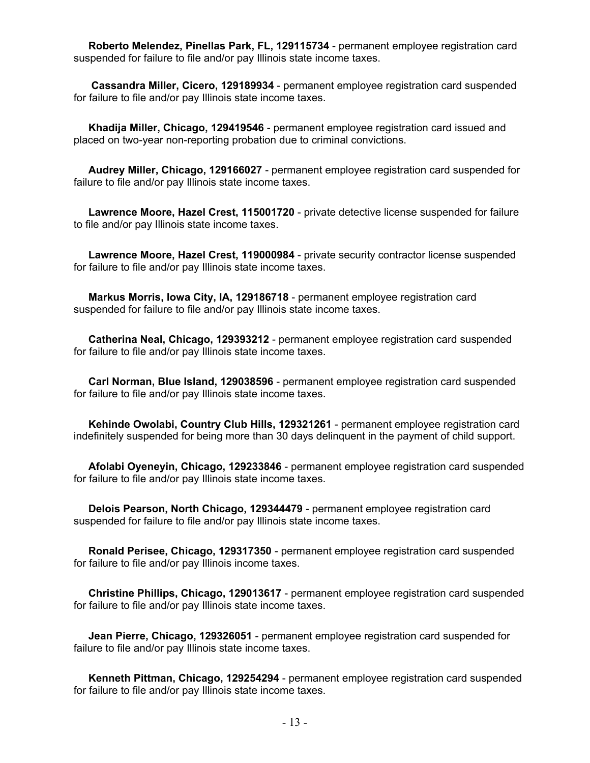**Roberto Melendez, Pinellas Park, FL, 129115734** - permanent employee registration card suspended for failure to file and/or pay Illinois state income taxes.

 **Cassandra Miller, Cicero, 129189934** - permanent employee registration card suspended for failure to file and/or pay Illinois state income taxes.

 **Khadija Miller, Chicago, 129419546** - permanent employee registration card issued and placed on two-year non-reporting probation due to criminal convictions.

 **Audrey Miller, Chicago, 129166027** - permanent employee registration card suspended for failure to file and/or pay Illinois state income taxes.

 **Lawrence Moore, Hazel Crest, 115001720** - private detective license suspended for failure to file and/or pay Illinois state income taxes.

 **Lawrence Moore, Hazel Crest, 119000984** - private security contractor license suspended for failure to file and/or pay Illinois state income taxes.

 **Markus Morris, Iowa City, IA, 129186718** - permanent employee registration card suspended for failure to file and/or pay Illinois state income taxes.

 **Catherina Neal, Chicago, 129393212** - permanent employee registration card suspended for failure to file and/or pay Illinois state income taxes.

 **Carl Norman, Blue Island, 129038596** - permanent employee registration card suspended for failure to file and/or pay Illinois state income taxes.

 **Kehinde Owolabi, Country Club Hills, 129321261** - permanent employee registration card indefinitely suspended for being more than 30 days delinquent in the payment of child support.

 **Afolabi Oyeneyin, Chicago, 129233846** - permanent employee registration card suspended for failure to file and/or pay Illinois state income taxes.

 **Delois Pearson, North Chicago, 129344479** - permanent employee registration card suspended for failure to file and/or pay Illinois state income taxes.

 **Ronald Perisee, Chicago, 129317350** - permanent employee registration card suspended for failure to file and/or pay Illinois income taxes.

 **Christine Phillips, Chicago, 129013617** - permanent employee registration card suspended for failure to file and/or pay Illinois state income taxes.

 **Jean Pierre, Chicago, 129326051** - permanent employee registration card suspended for failure to file and/or pay Illinois state income taxes.

 **Kenneth Pittman, Chicago, 129254294** - permanent employee registration card suspended for failure to file and/or pay Illinois state income taxes.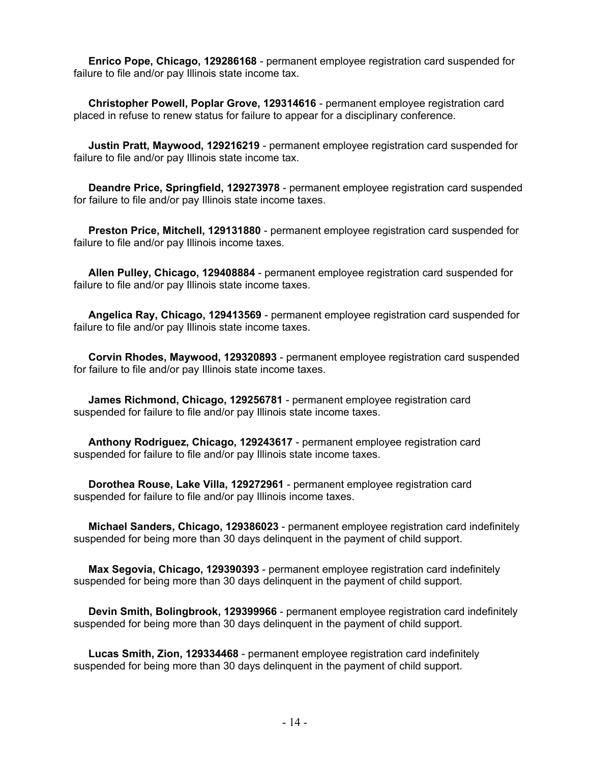**Enrico Pope, Chicago, 129286168** - permanent employee registration card suspended for failure to file and/or pay Illinois state income tax.

 **Christopher Powell, Poplar Grove, 129314616** - permanent employee registration card placed in refuse to renew status for failure to appear for a disciplinary conference.

 **Justin Pratt, Maywood, 129216219** - permanent employee registration card suspended for failure to file and/or pay Illinois state income tax.

 **Deandre Price, Springfield, 129273978** - permanent employee registration card suspended for failure to file and/or pay Illinois state income taxes.

 **Preston Price, Mitchell, 129131880** - permanent employee registration card suspended for failure to file and/or pay Illinois income taxes.

 **Allen Pulley, Chicago, 129408884** - permanent employee registration card suspended for failure to file and/or pay Illinois state income taxes.

 **Angelica Ray, Chicago, 129413569** - permanent employee registration card suspended for failure to file and/or pay Illinois state income taxes.

 **Corvin Rhodes, Maywood, 129320893** - permanent employee registration card suspended for failure to file and/or pay Illinois state income taxes.

 **James Richmond, Chicago, 129256781** - permanent employee registration card suspended for failure to file and/or pay Illinois state income taxes.

 **Anthony Rodriguez, Chicago, 129243617** - permanent employee registration card suspended for failure to file and/or pay Illinois state income taxes.

 **Dorothea Rouse, Lake Villa, 129272961** - permanent employee registration card suspended for failure to file and/or pay Illinois income taxes.

 **Michael Sanders, Chicago, 129386023** - permanent employee registration card indefinitely suspended for being more than 30 days delinquent in the payment of child support.

 **Max Segovia, Chicago, 129390393** - permanent employee registration card indefinitely suspended for being more than 30 days delinquent in the payment of child support.

 **Devin Smith, Bolingbrook, 129399966** - permanent employee registration card indefinitely suspended for being more than 30 days delinquent in the payment of child support.

 **Lucas Smith, Zion, 129334468** - permanent employee registration card indefinitely suspended for being more than 30 days delinquent in the payment of child support.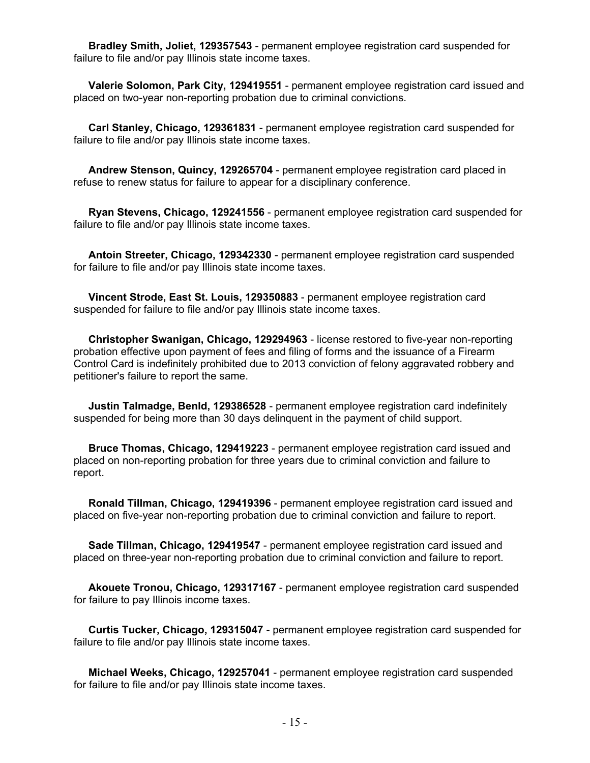**Bradley Smith, Joliet, 129357543** - permanent employee registration card suspended for failure to file and/or pay Illinois state income taxes.

 **Valerie Solomon, Park City, 129419551** - permanent employee registration card issued and placed on two-year non-reporting probation due to criminal convictions.

 **Carl Stanley, Chicago, 129361831** - permanent employee registration card suspended for failure to file and/or pay Illinois state income taxes.

 **Andrew Stenson, Quincy, 129265704** - permanent employee registration card placed in refuse to renew status for failure to appear for a disciplinary conference.

 **Ryan Stevens, Chicago, 129241556** - permanent employee registration card suspended for failure to file and/or pay Illinois state income taxes.

 **Antoin Streeter, Chicago, 129342330** - permanent employee registration card suspended for failure to file and/or pay Illinois state income taxes.

 **Vincent Strode, East St. Louis, 129350883** - permanent employee registration card suspended for failure to file and/or pay Illinois state income taxes.

 **Christopher Swanigan, Chicago, 129294963** - license restored to five-year non-reporting probation effective upon payment of fees and filing of forms and the issuance of a Firearm Control Card is indefinitely prohibited due to 2013 conviction of felony aggravated robbery and petitioner's failure to report the same.

 **Justin Talmadge, Benld, 129386528** - permanent employee registration card indefinitely suspended for being more than 30 days delinquent in the payment of child support.

 **Bruce Thomas, Chicago, 129419223** - permanent employee registration card issued and placed on non-reporting probation for three years due to criminal conviction and failure to report.

 **Ronald Tillman, Chicago, 129419396** - permanent employee registration card issued and placed on five-year non-reporting probation due to criminal conviction and failure to report.

 **Sade Tillman, Chicago, 129419547** - permanent employee registration card issued and placed on three-year non-reporting probation due to criminal conviction and failure to report.

 **Akouete Tronou, Chicago, 129317167** - permanent employee registration card suspended for failure to pay Illinois income taxes.

 **Curtis Tucker, Chicago, 129315047** - permanent employee registration card suspended for failure to file and/or pay Illinois state income taxes.

 **Michael Weeks, Chicago, 129257041** - permanent employee registration card suspended for failure to file and/or pay Illinois state income taxes.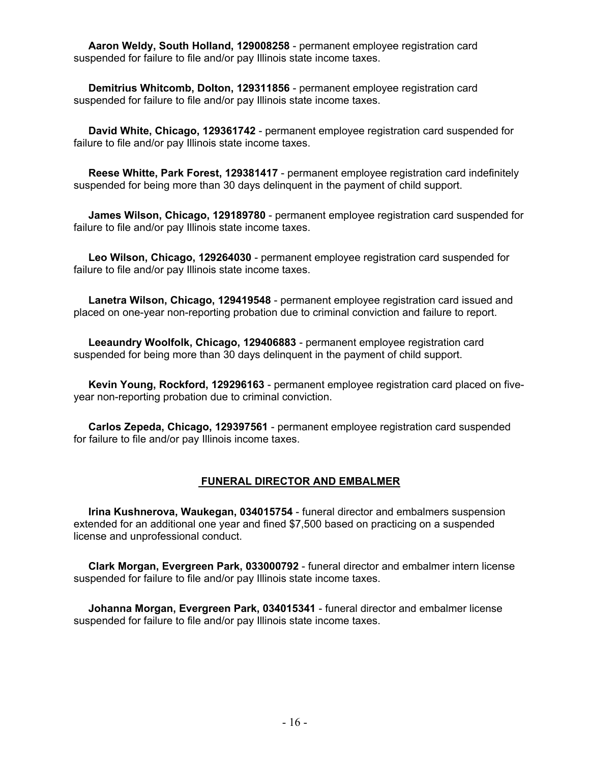**Aaron Weldy, South Holland, 129008258** - permanent employee registration card suspended for failure to file and/or pay Illinois state income taxes.

 **Demitrius Whitcomb, Dolton, 129311856** - permanent employee registration card suspended for failure to file and/or pay Illinois state income taxes.

 **David White, Chicago, 129361742** - permanent employee registration card suspended for failure to file and/or pay Illinois state income taxes.

 **Reese Whitte, Park Forest, 129381417** - permanent employee registration card indefinitely suspended for being more than 30 days delinquent in the payment of child support.

 **James Wilson, Chicago, 129189780** - permanent employee registration card suspended for failure to file and/or pay Illinois state income taxes.

 **Leo Wilson, Chicago, 129264030** - permanent employee registration card suspended for failure to file and/or pay Illinois state income taxes.

 **Lanetra Wilson, Chicago, 129419548** - permanent employee registration card issued and placed on one-year non-reporting probation due to criminal conviction and failure to report.

 **Leeaundry Woolfolk, Chicago, 129406883** - permanent employee registration card suspended for being more than 30 days delinquent in the payment of child support.

 **Kevin Young, Rockford, 129296163** - permanent employee registration card placed on fiveyear non-reporting probation due to criminal conviction.

 **Carlos Zepeda, Chicago, 129397561** - permanent employee registration card suspended for failure to file and/or pay Illinois income taxes.

#### **FUNERAL DIRECTOR AND EMBALMER**

 **Irina Kushnerova, Waukegan, 034015754** - funeral director and embalmers suspension extended for an additional one year and fined \$7,500 based on practicing on a suspended license and unprofessional conduct.

 **Clark Morgan, Evergreen Park, 033000792** - funeral director and embalmer intern license suspended for failure to file and/or pay Illinois state income taxes.

 **Johanna Morgan, Evergreen Park, 034015341** - funeral director and embalmer license suspended for failure to file and/or pay Illinois state income taxes.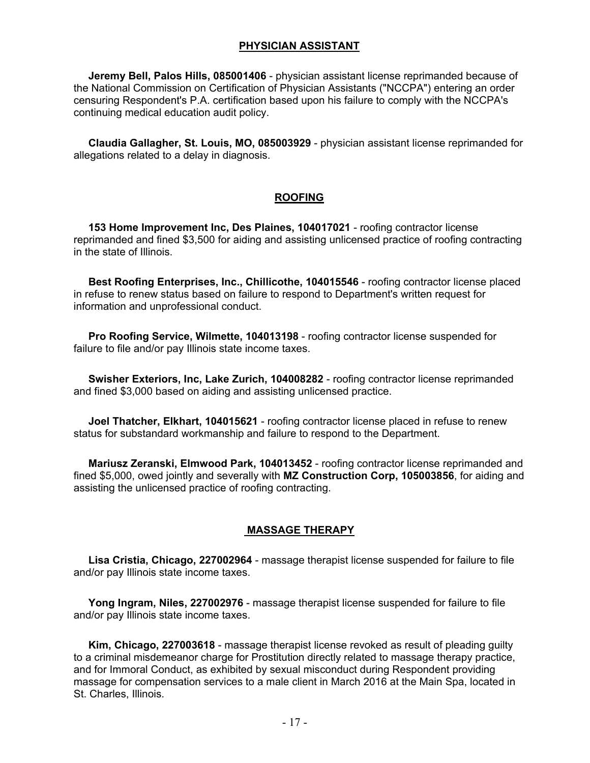#### **PHYSICIAN ASSISTANT**

 **Jeremy Bell, Palos Hills, 085001406** - physician assistant license reprimanded because of the National Commission on Certification of Physician Assistants ("NCCPA") entering an order censuring Respondent's P.A. certification based upon his failure to comply with the NCCPA's continuing medical education audit policy.

 **Claudia Gallagher, St. Louis, MO, 085003929** - physician assistant license reprimanded for allegations related to a delay in diagnosis.

## **ROOFING**

 **153 Home Improvement Inc, Des Plaines, 104017021** - roofing contractor license reprimanded and fined \$3,500 for aiding and assisting unlicensed practice of roofing contracting in the state of Illinois.

 **Best Roofing Enterprises, Inc., Chillicothe, 104015546** - roofing contractor license placed in refuse to renew status based on failure to respond to Department's written request for information and unprofessional conduct.

 **Pro Roofing Service, Wilmette, 104013198** - roofing contractor license suspended for failure to file and/or pay Illinois state income taxes.

 **Swisher Exteriors, Inc, Lake Zurich, 104008282** - roofing contractor license reprimanded and fined \$3,000 based on aiding and assisting unlicensed practice.

 **Joel Thatcher, Elkhart, 104015621** - roofing contractor license placed in refuse to renew status for substandard workmanship and failure to respond to the Department.

 **Mariusz Zeranski, Elmwood Park, 104013452** - roofing contractor license reprimanded and fined \$5,000, owed jointly and severally with **MZ Construction Corp, 105003856**, for aiding and assisting the unlicensed practice of roofing contracting.

#### **MASSAGE THERAPY**

 **Lisa Cristia, Chicago, 227002964** - massage therapist license suspended for failure to file and/or pay Illinois state income taxes.

 **Yong Ingram, Niles, 227002976** - massage therapist license suspended for failure to file and/or pay Illinois state income taxes.

 **Kim, Chicago, 227003618** - massage therapist license revoked as result of pleading guilty to a criminal misdemeanor charge for Prostitution directly related to massage therapy practice, and for Immoral Conduct, as exhibited by sexual misconduct during Respondent providing massage for compensation services to a male client in March 2016 at the Main Spa, located in St. Charles, Illinois.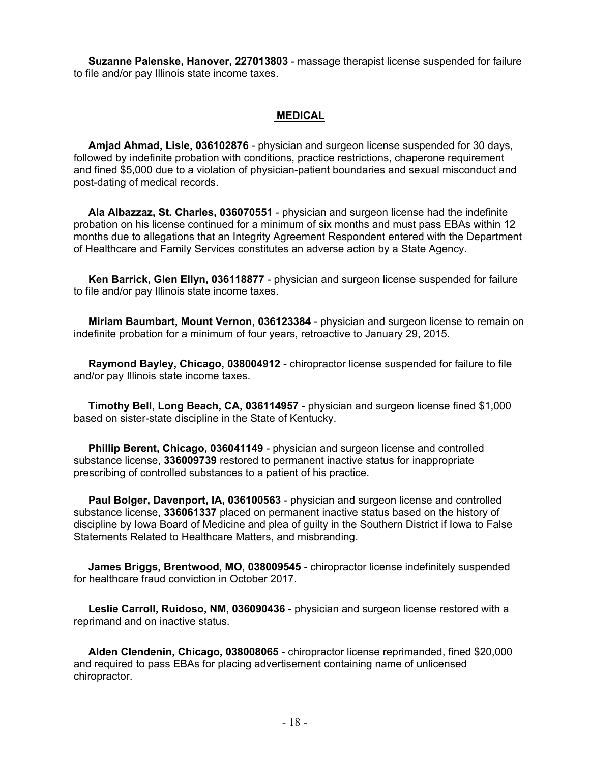**Suzanne Palenske, Hanover, 227013803** - massage therapist license suspended for failure to file and/or pay Illinois state income taxes.

#### **MEDICAL**

 **Amjad Ahmad, Lisle, 036102876** - physician and surgeon license suspended for 30 days, followed by indefinite probation with conditions, practice restrictions, chaperone requirement and fined \$5,000 due to a violation of physician-patient boundaries and sexual misconduct and post-dating of medical records.

 **Ala Albazzaz, St. Charles, 036070551** - physician and surgeon license had the indefinite probation on his license continued for a minimum of six months and must pass EBAs within 12 months due to allegations that an Integrity Agreement Respondent entered with the Department of Healthcare and Family Services constitutes an adverse action by a State Agency.

 **Ken Barrick, Glen Ellyn, 036118877** - physician and surgeon license suspended for failure to file and/or pay Illinois state income taxes.

 **Miriam Baumbart, Mount Vernon, 036123384** - physician and surgeon license to remain on indefinite probation for a minimum of four years, retroactive to January 29, 2015.

 **Raymond Bayley, Chicago, 038004912** - chiropractor license suspended for failure to file and/or pay Illinois state income taxes.

 **Timothy Bell, Long Beach, CA, 036114957** - physician and surgeon license fined \$1,000 based on sister-state discipline in the State of Kentucky.

 **Phillip Berent, Chicago, 036041149** - physician and surgeon license and controlled substance license, **336009739** restored to permanent inactive status for inappropriate prescribing of controlled substances to a patient of his practice.

 **Paul Bolger, Davenport, IA, 036100563** - physician and surgeon license and controlled substance license, **336061337** placed on permanent inactive status based on the history of discipline by Iowa Board of Medicine and plea of guilty in the Southern District if Iowa to False Statements Related to Healthcare Matters, and misbranding.

 **James Briggs, Brentwood, MO, 038009545** - chiropractor license indefinitely suspended for healthcare fraud conviction in October 2017.

 **Leslie Carroll, Ruidoso, NM, 036090436** - physician and surgeon license restored with a reprimand and on inactive status.

 **Alden Clendenin, Chicago, 038008065** - chiropractor license reprimanded, fined \$20,000 and required to pass EBAs for placing advertisement containing name of unlicensed chiropractor.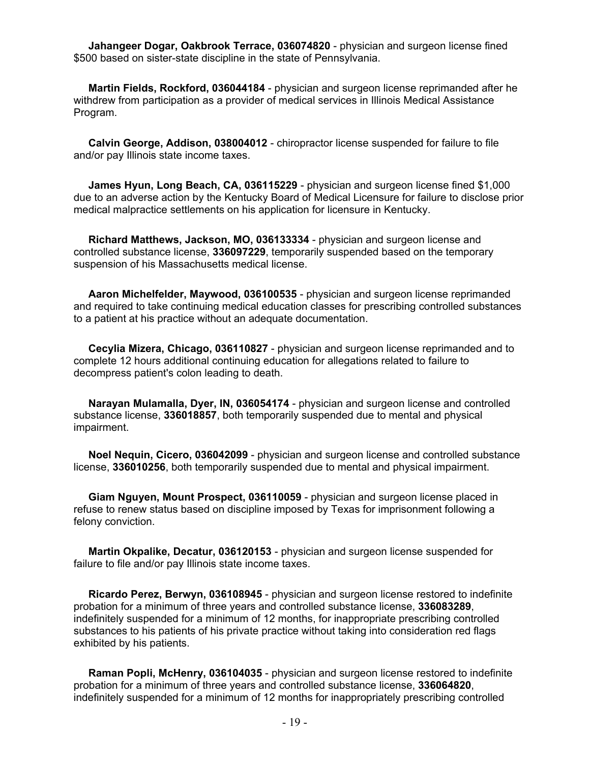**Jahangeer Dogar, Oakbrook Terrace, 036074820** - physician and surgeon license fined \$500 based on sister-state discipline in the state of Pennsylvania.

 **Martin Fields, Rockford, 036044184** - physician and surgeon license reprimanded after he withdrew from participation as a provider of medical services in Illinois Medical Assistance Program.

 **Calvin George, Addison, 038004012** - chiropractor license suspended for failure to file and/or pay Illinois state income taxes.

 **James Hyun, Long Beach, CA, 036115229** - physician and surgeon license fined \$1,000 due to an adverse action by the Kentucky Board of Medical Licensure for failure to disclose prior medical malpractice settlements on his application for licensure in Kentucky.

 **Richard Matthews, Jackson, MO, 036133334** - physician and surgeon license and controlled substance license, **336097229**, temporarily suspended based on the temporary suspension of his Massachusetts medical license.

 **Aaron Michelfelder, Maywood, 036100535** - physician and surgeon license reprimanded and required to take continuing medical education classes for prescribing controlled substances to a patient at his practice without an adequate documentation.

 **Cecylia Mizera, Chicago, 036110827** - physician and surgeon license reprimanded and to complete 12 hours additional continuing education for allegations related to failure to decompress patient's colon leading to death.

 **Narayan Mulamalla, Dyer, IN, 036054174** - physician and surgeon license and controlled substance license, **336018857**, both temporarily suspended due to mental and physical impairment.

 **Noel Nequin, Cicero, 036042099** - physician and surgeon license and controlled substance license, **336010256**, both temporarily suspended due to mental and physical impairment.

 **Giam Nguyen, Mount Prospect, 036110059** - physician and surgeon license placed in refuse to renew status based on discipline imposed by Texas for imprisonment following a felony conviction.

 **Martin Okpalike, Decatur, 036120153** - physician and surgeon license suspended for failure to file and/or pay Illinois state income taxes.

 **Ricardo Perez, Berwyn, 036108945** - physician and surgeon license restored to indefinite probation for a minimum of three years and controlled substance license, **336083289**, indefinitely suspended for a minimum of 12 months, for inappropriate prescribing controlled substances to his patients of his private practice without taking into consideration red flags exhibited by his patients.

 **Raman Popli, McHenry, 036104035** - physician and surgeon license restored to indefinite probation for a minimum of three years and controlled substance license, **336064820**, indefinitely suspended for a minimum of 12 months for inappropriately prescribing controlled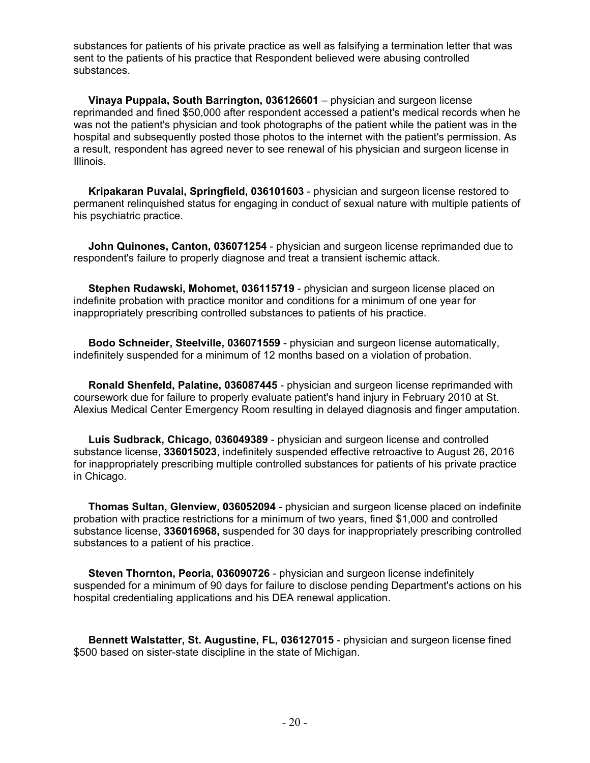substances for patients of his private practice as well as falsifying a termination letter that was sent to the patients of his practice that Respondent believed were abusing controlled substances.

 **Vinaya Puppala, South Barrington, 036126601** – physician and surgeon license reprimanded and fined \$50,000 after respondent accessed a patient's medical records when he was not the patient's physician and took photographs of the patient while the patient was in the hospital and subsequently posted those photos to the internet with the patient's permission. As a result, respondent has agreed never to see renewal of his physician and surgeon license in Illinois.

 **Kripakaran Puvalai, Springfield, 036101603** - physician and surgeon license restored to permanent relinquished status for engaging in conduct of sexual nature with multiple patients of his psychiatric practice.

 **John Quinones, Canton, 036071254** - physician and surgeon license reprimanded due to respondent's failure to properly diagnose and treat a transient ischemic attack.

 **Stephen Rudawski, Mohomet, 036115719** - physician and surgeon license placed on indefinite probation with practice monitor and conditions for a minimum of one year for inappropriately prescribing controlled substances to patients of his practice.

 **Bodo Schneider, Steelville, 036071559** - physician and surgeon license automatically, indefinitely suspended for a minimum of 12 months based on a violation of probation.

 **Ronald Shenfeld, Palatine, 036087445** - physician and surgeon license reprimanded with coursework due for failure to properly evaluate patient's hand injury in February 2010 at St. Alexius Medical Center Emergency Room resulting in delayed diagnosis and finger amputation.

 **Luis Sudbrack, Chicago, 036049389** - physician and surgeon license and controlled substance license, **336015023**, indefinitely suspended effective retroactive to August 26, 2016 for inappropriately prescribing multiple controlled substances for patients of his private practice in Chicago.

 **Thomas Sultan, Glenview, 036052094** - physician and surgeon license placed on indefinite probation with practice restrictions for a minimum of two years, fined \$1,000 and controlled substance license, **336016968,** suspended for 30 days for inappropriately prescribing controlled substances to a patient of his practice.

 **Steven Thornton, Peoria, 036090726** - physician and surgeon license indefinitely suspended for a minimum of 90 days for failure to disclose pending Department's actions on his hospital credentialing applications and his DEA renewal application.

 **Bennett Walstatter, St. Augustine, FL, 036127015** - physician and surgeon license fined \$500 based on sister-state discipline in the state of Michigan.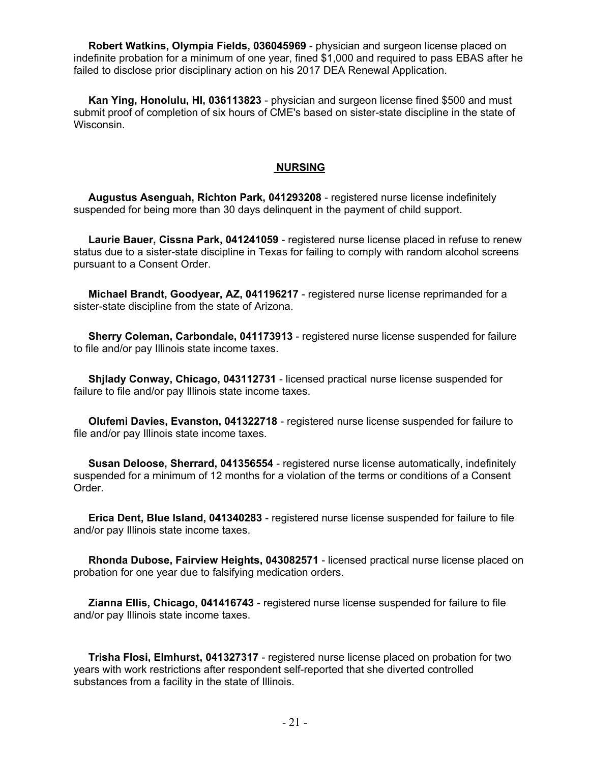**Robert Watkins, Olympia Fields, 036045969** - physician and surgeon license placed on indefinite probation for a minimum of one year, fined \$1,000 and required to pass EBAS after he failed to disclose prior disciplinary action on his 2017 DEA Renewal Application.

 **Kan Ying, Honolulu, HI, 036113823** - physician and surgeon license fined \$500 and must submit proof of completion of six hours of CME's based on sister-state discipline in the state of Wisconsin.

#### **NURSING**

 **Augustus Asenguah, Richton Park, 041293208** - registered nurse license indefinitely suspended for being more than 30 days delinquent in the payment of child support.

 **Laurie Bauer, Cissna Park, 041241059** - registered nurse license placed in refuse to renew status due to a sister-state discipline in Texas for failing to comply with random alcohol screens pursuant to a Consent Order.

 **Michael Brandt, Goodyear, AZ, 041196217** - registered nurse license reprimanded for a sister-state discipline from the state of Arizona.

 **Sherry Coleman, Carbondale, 041173913** - registered nurse license suspended for failure to file and/or pay Illinois state income taxes.

 **Shjlady Conway, Chicago, 043112731** - licensed practical nurse license suspended for failure to file and/or pay Illinois state income taxes.

 **Olufemi Davies, Evanston, 041322718** - registered nurse license suspended for failure to file and/or pay Illinois state income taxes.

 **Susan Deloose, Sherrard, 041356554** - registered nurse license automatically, indefinitely suspended for a minimum of 12 months for a violation of the terms or conditions of a Consent Order.

 **Erica Dent, Blue Island, 041340283** - registered nurse license suspended for failure to file and/or pay Illinois state income taxes.

 **Rhonda Dubose, Fairview Heights, 043082571** - licensed practical nurse license placed on probation for one year due to falsifying medication orders.

 **Zianna Ellis, Chicago, 041416743** - registered nurse license suspended for failure to file and/or pay Illinois state income taxes.

 **Trisha Flosi, Elmhurst, 041327317** - registered nurse license placed on probation for two years with work restrictions after respondent self-reported that she diverted controlled substances from a facility in the state of Illinois.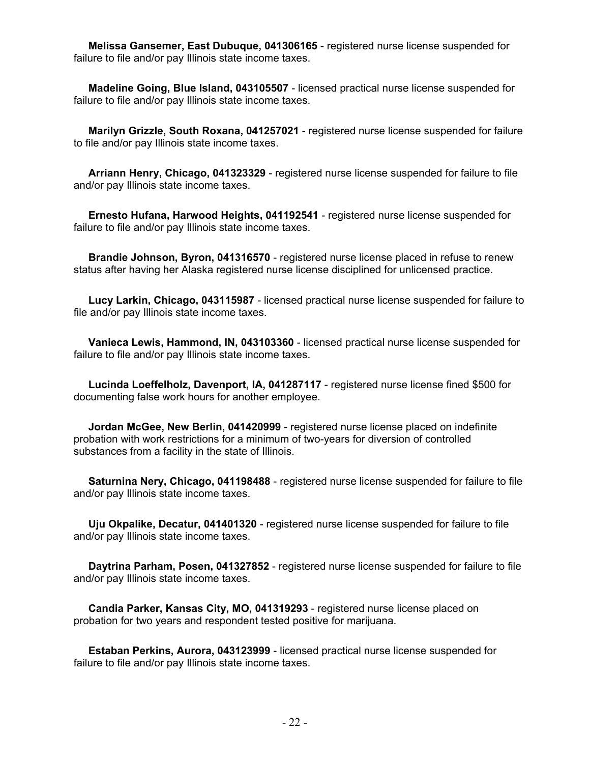**Melissa Gansemer, East Dubuque, 041306165** - registered nurse license suspended for failure to file and/or pay Illinois state income taxes.

 **Madeline Going, Blue Island, 043105507** - licensed practical nurse license suspended for failure to file and/or pay Illinois state income taxes.

 **Marilyn Grizzle, South Roxana, 041257021** - registered nurse license suspended for failure to file and/or pay Illinois state income taxes.

 **Arriann Henry, Chicago, 041323329** - registered nurse license suspended for failure to file and/or pay Illinois state income taxes.

 **Ernesto Hufana, Harwood Heights, 041192541** - registered nurse license suspended for failure to file and/or pay Illinois state income taxes.

 **Brandie Johnson, Byron, 041316570** - registered nurse license placed in refuse to renew status after having her Alaska registered nurse license disciplined for unlicensed practice.

 **Lucy Larkin, Chicago, 043115987** - licensed practical nurse license suspended for failure to file and/or pay Illinois state income taxes.

 **Vanieca Lewis, Hammond, IN, 043103360** - licensed practical nurse license suspended for failure to file and/or pay Illinois state income taxes.

 **Lucinda Loeffelholz, Davenport, IA, 041287117** - registered nurse license fined \$500 for documenting false work hours for another employee.

 **Jordan McGee, New Berlin, 041420999** - registered nurse license placed on indefinite probation with work restrictions for a minimum of two-years for diversion of controlled substances from a facility in the state of Illinois.

 **Saturnina Nery, Chicago, 041198488** - registered nurse license suspended for failure to file and/or pay Illinois state income taxes.

 **Uju Okpalike, Decatur, 041401320** - registered nurse license suspended for failure to file and/or pay Illinois state income taxes.

 **Daytrina Parham, Posen, 041327852** - registered nurse license suspended for failure to file and/or pay Illinois state income taxes.

 **Candia Parker, Kansas City, MO, 041319293** - registered nurse license placed on probation for two years and respondent tested positive for marijuana.

 **Estaban Perkins, Aurora, 043123999** - licensed practical nurse license suspended for failure to file and/or pay Illinois state income taxes.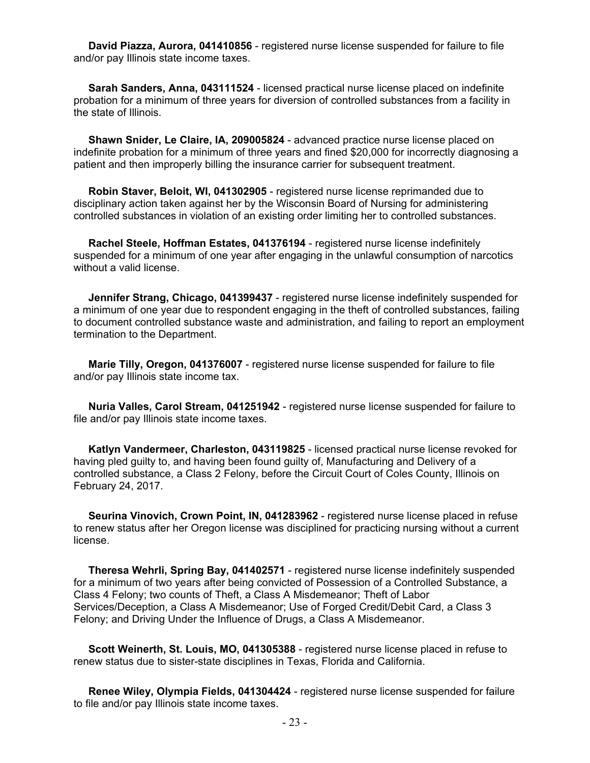**David Piazza, Aurora, 041410856** - registered nurse license suspended for failure to file and/or pay Illinois state income taxes.

 **Sarah Sanders, Anna, 043111524** - licensed practical nurse license placed on indefinite probation for a minimum of three years for diversion of controlled substances from a facility in the state of Illinois.

 **Shawn Snider, Le Claire, IA, 209005824** - advanced practice nurse license placed on indefinite probation for a minimum of three years and fined \$20,000 for incorrectly diagnosing a patient and then improperly billing the insurance carrier for subsequent treatment.

 **Robin Staver, Beloit, WI, 041302905** - registered nurse license reprimanded due to disciplinary action taken against her by the Wisconsin Board of Nursing for administering controlled substances in violation of an existing order limiting her to controlled substances.

 **Rachel Steele, Hoffman Estates, 041376194** - registered nurse license indefinitely suspended for a minimum of one year after engaging in the unlawful consumption of narcotics without a valid license.

 **Jennifer Strang, Chicago, 041399437** - registered nurse license indefinitely suspended for a minimum of one year due to respondent engaging in the theft of controlled substances, failing to document controlled substance waste and administration, and failing to report an employment termination to the Department.

 **Marie Tilly, Oregon, 041376007** - registered nurse license suspended for failure to file and/or pay Illinois state income tax.

 **Nuria Valles, Carol Stream, 041251942** - registered nurse license suspended for failure to file and/or pay Illinois state income taxes.

 **Katlyn Vandermeer, Charleston, 043119825** - licensed practical nurse license revoked for having pled guilty to, and having been found guilty of, Manufacturing and Delivery of a controlled substance, a Class 2 Felony, before the Circuit Court of Coles County, Illinois on February 24, 2017.

 **Seurina Vinovich, Crown Point, IN, 041283962** - registered nurse license placed in refuse to renew status after her Oregon license was disciplined for practicing nursing without a current license.

 **Theresa Wehrli, Spring Bay, 041402571** - registered nurse license indefinitely suspended for a minimum of two years after being convicted of Possession of a Controlled Substance, a Class 4 Felony; two counts of Theft, a Class A Misdemeanor; Theft of Labor Services/Deception, a Class A Misdemeanor; Use of Forged Credit/Debit Card, a Class 3 Felony; and Driving Under the Influence of Drugs, a Class A Misdemeanor.

 **Scott Weinerth, St. Louis, MO, 041305388** - registered nurse license placed in refuse to renew status due to sister-state disciplines in Texas, Florida and California.

 **Renee Wiley, Olympia Fields, 041304424** - registered nurse license suspended for failure to file and/or pay Illinois state income taxes.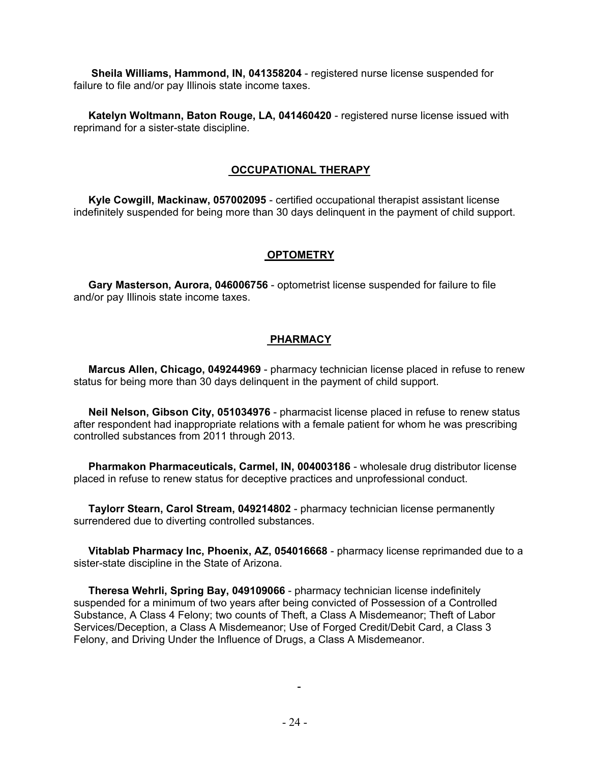**Sheila Williams, Hammond, IN, 041358204** - registered nurse license suspended for failure to file and/or pay Illinois state income taxes.

 **Katelyn Woltmann, Baton Rouge, LA, 041460420** - registered nurse license issued with reprimand for a sister-state discipline.

#### **OCCUPATIONAL THERAPY**

 **Kyle Cowgill, Mackinaw, 057002095** - certified occupational therapist assistant license indefinitely suspended for being more than 30 days delinquent in the payment of child support.

#### **OPTOMETRY**

 **Gary Masterson, Aurora, 046006756** - optometrist license suspended for failure to file and/or pay Illinois state income taxes.

#### **PHARMACY**

 **Marcus Allen, Chicago, 049244969** - pharmacy technician license placed in refuse to renew status for being more than 30 days delinquent in the payment of child support.

 **Neil Nelson, Gibson City, 051034976** - pharmacist license placed in refuse to renew status after respondent had inappropriate relations with a female patient for whom he was prescribing controlled substances from 2011 through 2013.

 **Pharmakon Pharmaceuticals, Carmel, IN, 004003186** - wholesale drug distributor license placed in refuse to renew status for deceptive practices and unprofessional conduct.

 **Taylorr Stearn, Carol Stream, 049214802** - pharmacy technician license permanently surrendered due to diverting controlled substances.

 **Vitablab Pharmacy Inc, Phoenix, AZ, 054016668** - pharmacy license reprimanded due to a sister-state discipline in the State of Arizona.

 **Theresa Wehrli, Spring Bay, 049109066** - pharmacy technician license indefinitely suspended for a minimum of two years after being convicted of Possession of a Controlled Substance, A Class 4 Felony; two counts of Theft, a Class A Misdemeanor; Theft of Labor Services/Deception, a Class A Misdemeanor; Use of Forged Credit/Debit Card, a Class 3 Felony, and Driving Under the Influence of Drugs, a Class A Misdemeanor.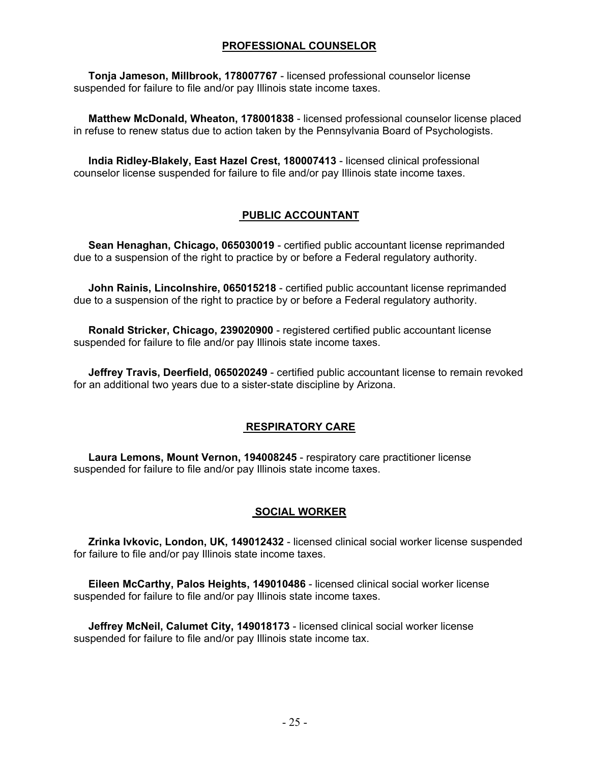#### **PROFESSIONAL COUNSELOR**

 **Tonja Jameson, Millbrook, 178007767** - licensed professional counselor license suspended for failure to file and/or pay Illinois state income taxes.

 **Matthew McDonald, Wheaton, 178001838** - licensed professional counselor license placed in refuse to renew status due to action taken by the Pennsylvania Board of Psychologists.

 **India Ridley-Blakely, East Hazel Crest, 180007413** - licensed clinical professional counselor license suspended for failure to file and/or pay Illinois state income taxes.

## **PUBLIC ACCOUNTANT**

 **Sean Henaghan, Chicago, 065030019** - certified public accountant license reprimanded due to a suspension of the right to practice by or before a Federal regulatory authority.

 **John Rainis, Lincolnshire, 065015218** - certified public accountant license reprimanded due to a suspension of the right to practice by or before a Federal regulatory authority.

 **Ronald Stricker, Chicago, 239020900** - registered certified public accountant license suspended for failure to file and/or pay Illinois state income taxes.

 **Jeffrey Travis, Deerfield, 065020249** - certified public accountant license to remain revoked for an additional two years due to a sister-state discipline by Arizona.

#### **RESPIRATORY CARE**

 **Laura Lemons, Mount Vernon, 194008245** - respiratory care practitioner license suspended for failure to file and/or pay Illinois state income taxes.

#### **SOCIAL WORKER**

 **Zrinka Ivkovic, London, UK, 149012432** - licensed clinical social worker license suspended for failure to file and/or pay Illinois state income taxes.

 **Eileen McCarthy, Palos Heights, 149010486** - licensed clinical social worker license suspended for failure to file and/or pay Illinois state income taxes.

 **Jeffrey McNeil, Calumet City, 149018173** - licensed clinical social worker license suspended for failure to file and/or pay Illinois state income tax.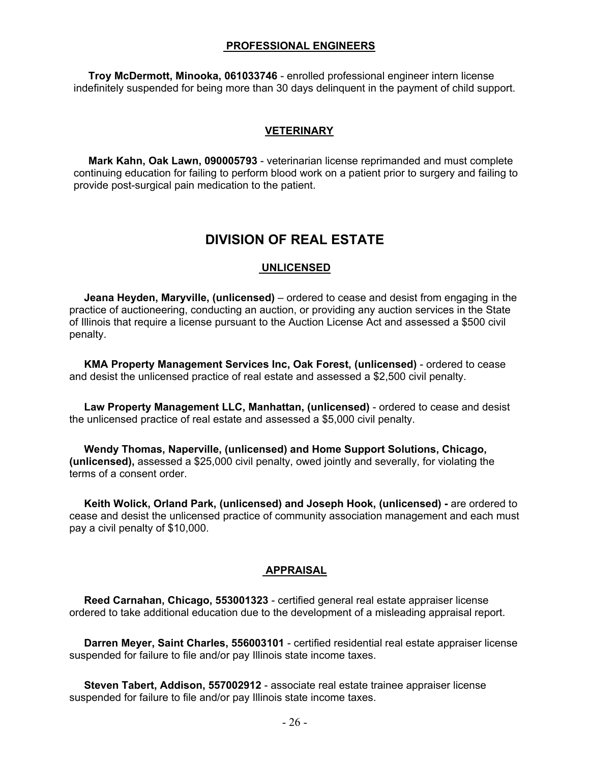#### **PROFESSIONAL ENGINEERS**

 **Troy McDermott, Minooka, 061033746** - enrolled professional engineer intern license indefinitely suspended for being more than 30 days delinquent in the payment of child support.

#### **VETERINARY**

 **Mark Kahn, Oak Lawn, 090005793** - veterinarian license reprimanded and must complete continuing education for failing to perform blood work on a patient prior to surgery and failing to provide post-surgical pain medication to the patient.

# **DIVISION OF REAL ESTATE**

#### **UNLICENSED**

 **Jeana Heyden, Maryville, (unlicensed)** – ordered to cease and desist from engaging in the practice of auctioneering, conducting an auction, or providing any auction services in the State of Illinois that require a license pursuant to the Auction License Act and assessed a \$500 civil penalty.

 **KMA Property Management Services Inc, Oak Forest, (unlicensed)** - ordered to cease and desist the unlicensed practice of real estate and assessed a \$2,500 civil penalty.

 **Law Property Management LLC, Manhattan, (unlicensed)** - ordered to cease and desist the unlicensed practice of real estate and assessed a \$5,000 civil penalty.

 **Wendy Thomas, Naperville, (unlicensed) and Home Support Solutions, Chicago, (unlicensed),** assessed a \$25,000 civil penalty, owed jointly and severally, for violating the terms of a consent order.

 **Keith Wolick, Orland Park, (unlicensed) and Joseph Hook, (unlicensed) -** are ordered to cease and desist the unlicensed practice of community association management and each must pay a civil penalty of \$10,000.

#### **APPRAISAL**

 **Reed Carnahan, Chicago, 553001323** - certified general real estate appraiser license ordered to take additional education due to the development of a misleading appraisal report.

 **Darren Meyer, Saint Charles, 556003101** - certified residential real estate appraiser license suspended for failure to file and/or pay Illinois state income taxes.

 **Steven Tabert, Addison, 557002912** - associate real estate trainee appraiser license suspended for failure to file and/or pay Illinois state income taxes.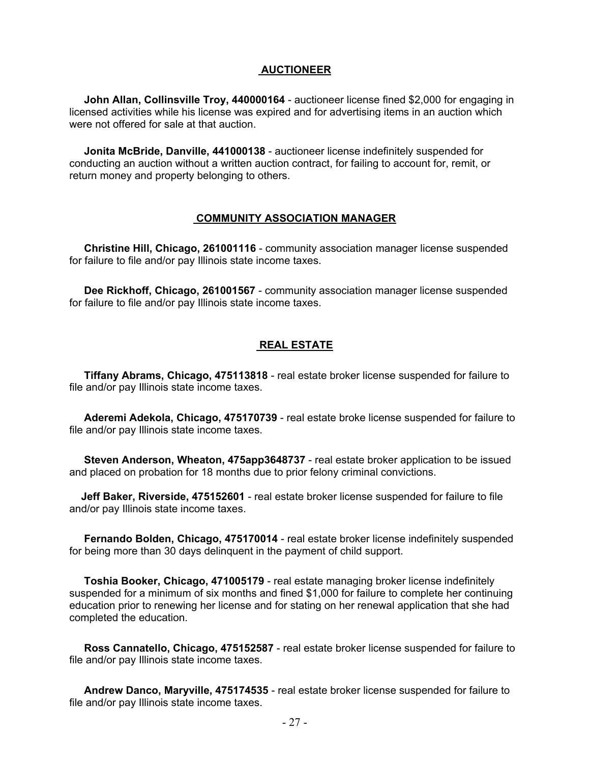#### **AUCTIONEER**

 **John Allan, Collinsville Troy, 440000164** - auctioneer license fined \$2,000 for engaging in licensed activities while his license was expired and for advertising items in an auction which were not offered for sale at that auction.

 **Jonita McBride, Danville, 441000138** - auctioneer license indefinitely suspended for conducting an auction without a written auction contract, for failing to account for, remit, or return money and property belonging to others.

#### **COMMUNITY ASSOCIATION MANAGER**

 **Christine Hill, Chicago, 261001116** - community association manager license suspended for failure to file and/or pay Illinois state income taxes.

 **Dee Rickhoff, Chicago, 261001567** - community association manager license suspended for failure to file and/or pay Illinois state income taxes.

#### **REAL ESTATE**

 **Tiffany Abrams, Chicago, 475113818** - real estate broker license suspended for failure to file and/or pay Illinois state income taxes.

 **Aderemi Adekola, Chicago, 475170739** - real estate broke license suspended for failure to file and/or pay Illinois state income taxes.

 **Steven Anderson, Wheaton, 475app3648737** - real estate broker application to be issued and placed on probation for 18 months due to prior felony criminal convictions.

 **Jeff Baker, Riverside, 475152601** - real estate broker license suspended for failure to file and/or pay Illinois state income taxes.

 **Fernando Bolden, Chicago, 475170014** - real estate broker license indefinitely suspended for being more than 30 days delinquent in the payment of child support.

 **Toshia Booker, Chicago, 471005179** - real estate managing broker license indefinitely suspended for a minimum of six months and fined \$1,000 for failure to complete her continuing education prior to renewing her license and for stating on her renewal application that she had completed the education.

 **Ross Cannatello, Chicago, 475152587** - real estate broker license suspended for failure to file and/or pay Illinois state income taxes.

 **Andrew Danco, Maryville, 475174535** - real estate broker license suspended for failure to file and/or pay Illinois state income taxes.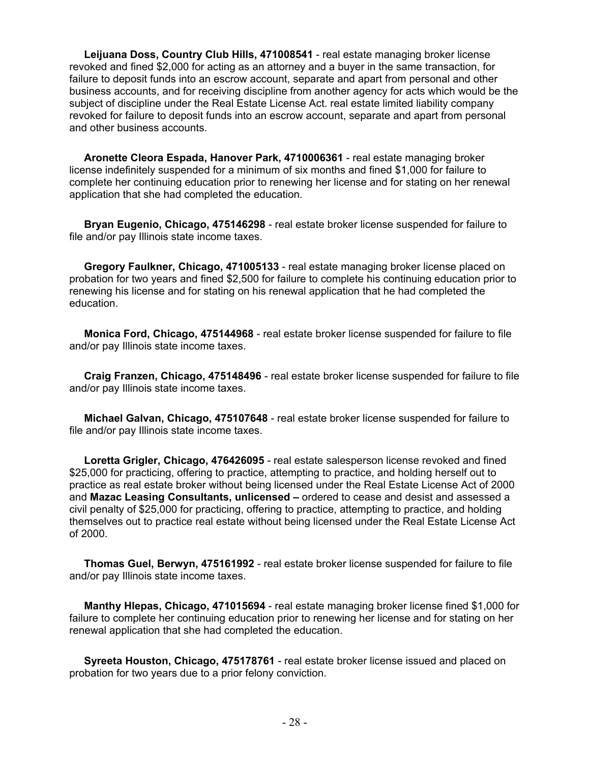**Leijuana Doss, Country Club Hills, 471008541** - real estate managing broker license revoked and fined \$2,000 for acting as an attorney and a buyer in the same transaction, for failure to deposit funds into an escrow account, separate and apart from personal and other business accounts, and for receiving discipline from another agency for acts which would be the subject of discipline under the Real Estate License Act. real estate limited liability company revoked for failure to deposit funds into an escrow account, separate and apart from personal and other business accounts.

 **Aronette Cleora Espada, Hanover Park, 4710006361** - real estate managing broker license indefinitely suspended for a minimum of six months and fined \$1,000 for failure to complete her continuing education prior to renewing her license and for stating on her renewal application that she had completed the education.

 **Bryan Eugenio, Chicago, 475146298** - real estate broker license suspended for failure to file and/or pay Illinois state income taxes.

 **Gregory Faulkner, Chicago, 471005133** - real estate managing broker license placed on probation for two years and fined \$2,500 for failure to complete his continuing education prior to renewing his license and for stating on his renewal application that he had completed the education.

 **Monica Ford, Chicago, 475144968** - real estate broker license suspended for failure to file and/or pay Illinois state income taxes.

 **Craig Franzen, Chicago, 475148496** - real estate broker license suspended for failure to file and/or pay Illinois state income taxes.

 **Michael Galvan, Chicago, 475107648** - real estate broker license suspended for failure to file and/or pay Illinois state income taxes.

 **Loretta Grigler, Chicago, 476426095** - real estate salesperson license revoked and fined \$25,000 for practicing, offering to practice, attempting to practice, and holding herself out to practice as real estate broker without being licensed under the Real Estate License Act of 2000 and **Mazac Leasing Consultants, unlicensed –** ordered to cease and desist and assessed a civil penalty of \$25,000 for practicing, offering to practice, attempting to practice, and holding themselves out to practice real estate without being licensed under the Real Estate License Act of 2000.

 **Thomas Guel, Berwyn, 475161992** - real estate broker license suspended for failure to file and/or pay Illinois state income taxes.

 **Manthy Hlepas, Chicago, 471015694** - real estate managing broker license fined \$1,000 for failure to complete her continuing education prior to renewing her license and for stating on her renewal application that she had completed the education.

 **Syreeta Houston, Chicago, 475178761** - real estate broker license issued and placed on probation for two years due to a prior felony conviction.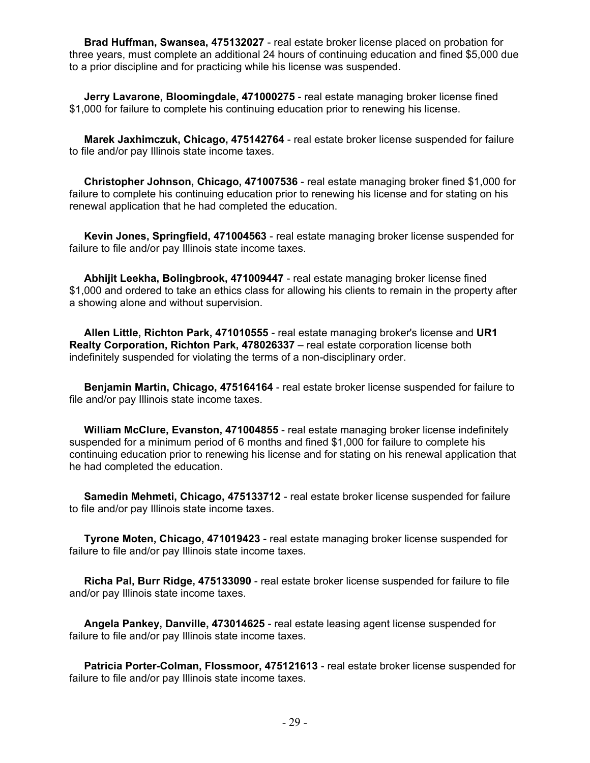**Brad Huffman, Swansea, 475132027** - real estate broker license placed on probation for three years, must complete an additional 24 hours of continuing education and fined \$5,000 due to a prior discipline and for practicing while his license was suspended.

 **Jerry Lavarone, Bloomingdale, 471000275** - real estate managing broker license fined \$1,000 for failure to complete his continuing education prior to renewing his license.

 **Marek Jaxhimczuk, Chicago, 475142764** - real estate broker license suspended for failure to file and/or pay Illinois state income taxes.

 **Christopher Johnson, Chicago, 471007536** - real estate managing broker fined \$1,000 for failure to complete his continuing education prior to renewing his license and for stating on his renewal application that he had completed the education.

 **Kevin Jones, Springfield, 471004563** - real estate managing broker license suspended for failure to file and/or pay Illinois state income taxes.

 **Abhijit Leekha, Bolingbrook, 471009447** - real estate managing broker license fined \$1,000 and ordered to take an ethics class for allowing his clients to remain in the property after a showing alone and without supervision.

 **Allen Little, Richton Park, 471010555** - real estate managing broker's license and **UR1 Realty Corporation, Richton Park, 478026337** – real estate corporation license both indefinitely suspended for violating the terms of a non-disciplinary order.

 **Benjamin Martin, Chicago, 475164164** - real estate broker license suspended for failure to file and/or pay Illinois state income taxes.

 **William McClure, Evanston, 471004855** - real estate managing broker license indefinitely suspended for a minimum period of 6 months and fined \$1,000 for failure to complete his continuing education prior to renewing his license and for stating on his renewal application that he had completed the education.

 **Samedin Mehmeti, Chicago, 475133712** - real estate broker license suspended for failure to file and/or pay Illinois state income taxes.

 **Tyrone Moten, Chicago, 471019423** - real estate managing broker license suspended for failure to file and/or pay Illinois state income taxes.

 **Richa Pal, Burr Ridge, 475133090** - real estate broker license suspended for failure to file and/or pay Illinois state income taxes.

 **Angela Pankey, Danville, 473014625** - real estate leasing agent license suspended for failure to file and/or pay Illinois state income taxes.

 **Patricia Porter-Colman, Flossmoor, 475121613** - real estate broker license suspended for failure to file and/or pay Illinois state income taxes.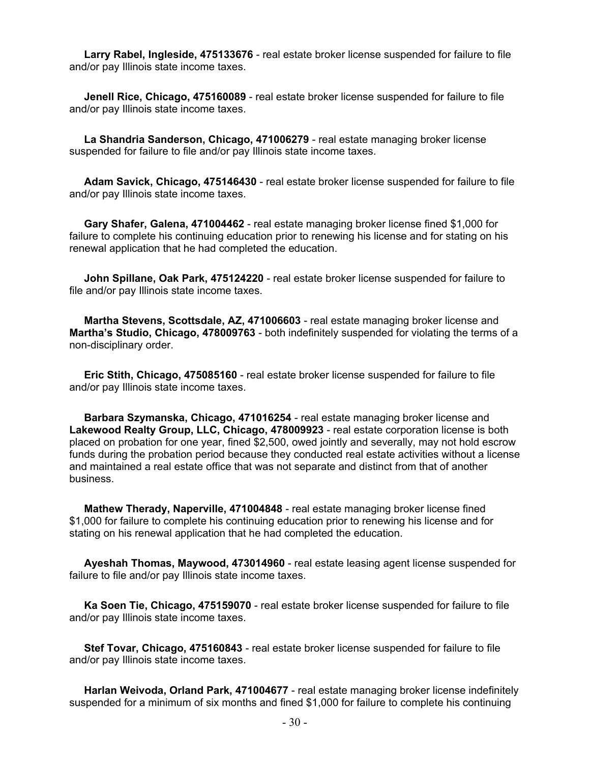**Larry Rabel, Ingleside, 475133676** - real estate broker license suspended for failure to file and/or pay Illinois state income taxes.

 **Jenell Rice, Chicago, 475160089** - real estate broker license suspended for failure to file and/or pay Illinois state income taxes.

 **La Shandria Sanderson, Chicago, 471006279** - real estate managing broker license suspended for failure to file and/or pay Illinois state income taxes.

 **Adam Savick, Chicago, 475146430** - real estate broker license suspended for failure to file and/or pay Illinois state income taxes.

 **Gary Shafer, Galena, 471004462** - real estate managing broker license fined \$1,000 for failure to complete his continuing education prior to renewing his license and for stating on his renewal application that he had completed the education.

 **John Spillane, Oak Park, 475124220** - real estate broker license suspended for failure to file and/or pay Illinois state income taxes.

 **Martha Stevens, Scottsdale, AZ, 471006603** - real estate managing broker license and **Martha's Studio, Chicago, 478009763** - both indefinitely suspended for violating the terms of a non-disciplinary order.

 **Eric Stith, Chicago, 475085160** - real estate broker license suspended for failure to file and/or pay Illinois state income taxes.

 **Barbara Szymanska, Chicago, 471016254** - real estate managing broker license and **Lakewood Realty Group, LLC, Chicago, 478009923** - real estate corporation license is both placed on probation for one year, fined \$2,500, owed jointly and severally, may not hold escrow funds during the probation period because they conducted real estate activities without a license and maintained a real estate office that was not separate and distinct from that of another business.

 **Mathew Therady, Naperville, 471004848** - real estate managing broker license fined \$1,000 for failure to complete his continuing education prior to renewing his license and for stating on his renewal application that he had completed the education.

 **Ayeshah Thomas, Maywood, 473014960** - real estate leasing agent license suspended for failure to file and/or pay Illinois state income taxes.

 **Ka Soen Tie, Chicago, 475159070** - real estate broker license suspended for failure to file and/or pay Illinois state income taxes.

 **Stef Tovar, Chicago, 475160843** - real estate broker license suspended for failure to file and/or pay Illinois state income taxes.

 **Harlan Weivoda, Orland Park, 471004677** - real estate managing broker license indefinitely suspended for a minimum of six months and fined \$1,000 for failure to complete his continuing